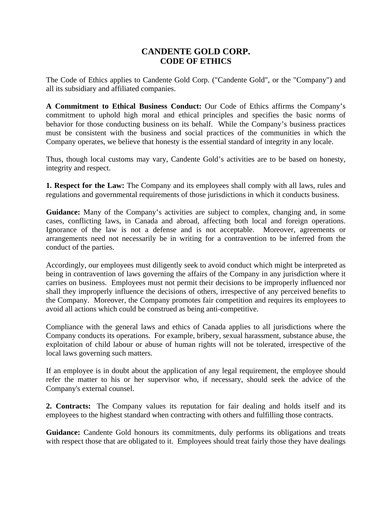## **CANDENTE GOLD CORP. CODE OF ETHICS**

The Code of Ethics applies to Candente Gold Corp. ("Candente Gold", or the "Company") and all its subsidiary and affiliated companies.

**A Commitment to Ethical Business Conduct:** Our Code of Ethics affirms the Company's commitment to uphold high moral and ethical principles and specifies the basic norms of behavior for those conducting business on its behalf. While the Company's business practices must be consistent with the business and social practices of the communities in which the Company operates, we believe that honesty is the essential standard of integrity in any locale.

Thus, though local customs may vary, Candente Gold's activities are to be based on honesty, integrity and respect.

**1. Respect for the Law:** The Company and its employees shall comply with all laws, rules and regulations and governmental requirements of those jurisdictions in which it conducts business.

**Guidance:** Many of the Company's activities are subject to complex, changing and, in some cases, conflicting laws, in Canada and abroad, affecting both local and foreign operations. Ignorance of the law is not a defense and is not acceptable. Moreover, agreements or arrangements need not necessarily be in writing for a contravention to be inferred from the conduct of the parties.

Accordingly, our employees must diligently seek to avoid conduct which might be interpreted as being in contravention of laws governing the affairs of the Company in any jurisdiction where it carries on business. Employees must not permit their decisions to be improperly influenced nor shall they improperly influence the decisions of others, irrespective of any perceived benefits to the Company. Moreover, the Company promotes fair competition and requires its employees to avoid all actions which could be construed as being anti-competitive.

Compliance with the general laws and ethics of Canada applies to all jurisdictions where the Company conducts its operations. For example, bribery, sexual harassment, substance abuse, the exploitation of child labour or abuse of human rights will not be tolerated, irrespective of the local laws governing such matters.

If an employee is in doubt about the application of any legal requirement, the employee should refer the matter to his or her supervisor who, if necessary, should seek the advice of the Company's external counsel.

**2. Contracts:** The Company values its reputation for fair dealing and holds itself and its employees to the highest standard when contracting with others and fulfilling those contracts.

Guidance: Candente Gold honours its commitments, duly performs its obligations and treats with respect those that are obligated to it. Employees should treat fairly those they have dealings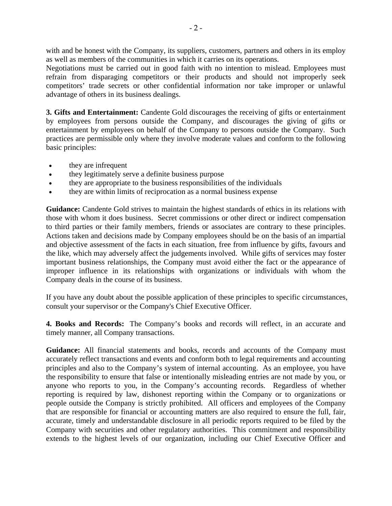with and be honest with the Company, its suppliers, customers, partners and others in its employ as well as members of the communities in which it carries on its operations.

Negotiations must be carried out in good faith with no intention to mislead. Employees must refrain from disparaging competitors or their products and should not improperly seek competitors' trade secrets or other confidential information nor take improper or unlawful advantage of others in its business dealings.

**3. Gifts and Entertainment:** Candente Gold discourages the receiving of gifts or entertainment by employees from persons outside the Company, and discourages the giving of gifts or entertainment by employees on behalf of the Company to persons outside the Company. Such practices are permissible only where they involve moderate values and conform to the following basic principles:

- they are infrequent
- they legitimately serve a definite business purpose
- they are appropriate to the business responsibilities of the individuals
- they are within limits of reciprocation as a normal business expense

**Guidance:** Candente Gold strives to maintain the highest standards of ethics in its relations with those with whom it does business. Secret commissions or other direct or indirect compensation to third parties or their family members, friends or associates are contrary to these principles. Actions taken and decisions made by Company employees should be on the basis of an impartial and objective assessment of the facts in each situation, free from influence by gifts, favours and the like, which may adversely affect the judgements involved. While gifts of services may foster important business relationships, the Company must avoid either the fact or the appearance of improper influence in its relationships with organizations or individuals with whom the Company deals in the course of its business.

If you have any doubt about the possible application of these principles to specific circumstances, consult your supervisor or the Company's Chief Executive Officer.

**4. Books and Records:** The Company's books and records will reflect, in an accurate and timely manner, all Company transactions.

**Guidance:** All financial statements and books, records and accounts of the Company must accurately reflect transactions and events and conform both to legal requirements and accounting principles and also to the Company's system of internal accounting. As an employee, you have the responsibility to ensure that false or intentionally misleading entries are not made by you, or anyone who reports to you, in the Company's accounting records. Regardless of whether reporting is required by law, dishonest reporting within the Company or to organizations or people outside the Company is strictly prohibited. All officers and employees of the Company that are responsible for financial or accounting matters are also required to ensure the full, fair, accurate, timely and understandable disclosure in all periodic reports required to be filed by the Company with securities and other regulatory authorities. This commitment and responsibility extends to the highest levels of our organization, including our Chief Executive Officer and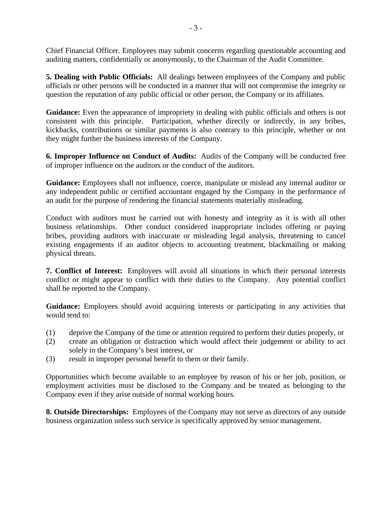Chief Financial Officer. Employees may submit concerns regarding questionable accounting and auditing matters, confidentially or anonymously, to the Chairman of the Audit Committee.

**5. Dealing with Public Officials:** All dealings between employees of the Company and public officials or other persons will be conducted in a manner that will not compromise the integrity or question the reputation of any public official or other person, the Company or its affiliates.

**Guidance:** Even the appearance of impropriety in dealing with public officials and others is not consistent with this principle. Participation, whether directly or indirectly, in any bribes, kickbacks, contributions or similar payments is also contrary to this principle, whether or not they might further the business interests of the Company.

**6. Improper Influence on Conduct of Audits:** Audits of the Company will be conducted free of improper influence on the auditors or the conduct of the auditors.

**Guidance:** Employees shall not influence, coerce, manipulate or mislead any internal auditor or any independent public or certified accountant engaged by the Company in the performance of an audit for the purpose of rendering the financial statements materially misleading.

Conduct with auditors must be carried out with honesty and integrity as it is with all other business relationships. Other conduct considered inappropriate includes offering or paying bribes, providing auditors with inaccurate or misleading legal analysis, threatening to cancel existing engagements if an auditor objects to accounting treatment, blackmailing or making physical threats.

**7. Conflict of Interest:** Employees will avoid all situations in which their personal interests conflict or might appear to conflict with their duties to the Company. Any potential conflict shall be reported to the Company.

**Guidance:** Employees should avoid acquiring interests or participating in any activities that would tend to:

- (1) deprive the Company of the time or attention required to perform their duties properly, or
- (2) create an obligation or distraction which would affect their judgement or ability to act solely in the Company's best interest, or
- (3) result in improper personal benefit to them or their family.

Opportunities which become available to an employee by reason of his or her job, position, or employment activities must be disclosed to the Company and be treated as belonging to the Company even if they arise outside of normal working hours.

**8. Outside Directorships:** Employees of the Company may not serve as directors of any outside business organization unless such service is specifically approved by senior management.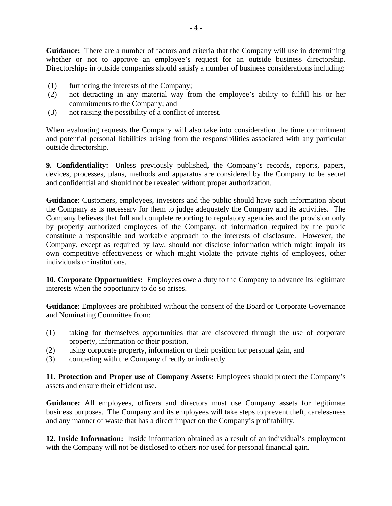**Guidance:** There are a number of factors and criteria that the Company will use in determining whether or not to approve an employee's request for an outside business directorship. Directorships in outside companies should satisfy a number of business considerations including:

- (1) furthering the interests of the Company;
- (2) not detracting in any material way from the employee's ability to fulfill his or her commitments to the Company; and
- (3) not raising the possibility of a conflict of interest.

When evaluating requests the Company will also take into consideration the time commitment and potential personal liabilities arising from the responsibilities associated with any particular outside directorship.

**9. Confidentiality:** Unless previously published, the Company's records, reports, papers, devices, processes, plans, methods and apparatus are considered by the Company to be secret and confidential and should not be revealed without proper authorization.

**Guidance**: Customers, employees, investors and the public should have such information about the Company as is necessary for them to judge adequately the Company and its activities. The Company believes that full and complete reporting to regulatory agencies and the provision only by properly authorized employees of the Company, of information required by the public constitute a responsible and workable approach to the interests of disclosure. However, the Company, except as required by law, should not disclose information which might impair its own competitive effectiveness or which might violate the private rights of employees, other individuals or institutions.

**10. Corporate Opportunities:** Employees owe a duty to the Company to advance its legitimate interests when the opportunity to do so arises.

**Guidance**: Employees are prohibited without the consent of the Board or Corporate Governance and Nominating Committee from:

- (1) taking for themselves opportunities that are discovered through the use of corporate property, information or their position,
- (2) using corporate property, information or their position for personal gain, and
- (3) competing with the Company directly or indirectly.

**11. Protection and Proper use of Company Assets:** Employees should protect the Company's assets and ensure their efficient use.

**Guidance:** All employees, officers and directors must use Company assets for legitimate business purposes. The Company and its employees will take steps to prevent theft, carelessness and any manner of waste that has a direct impact on the Company's profitability.

**12. Inside Information:** Inside information obtained as a result of an individual's employment with the Company will not be disclosed to others nor used for personal financial gain.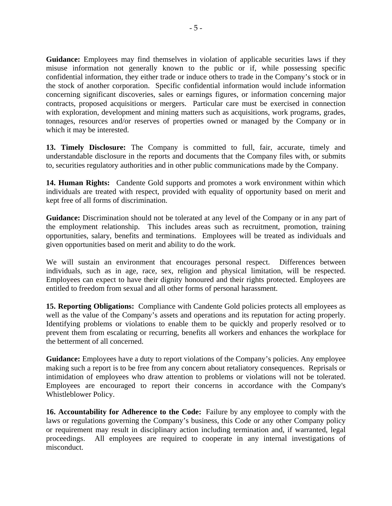Guidance: Employees may find themselves in violation of applicable securities laws if they misuse information not generally known to the public or if, while possessing specific confidential information, they either trade or induce others to trade in the Company's stock or in the stock of another corporation. Specific confidential information would include information concerning significant discoveries, sales or earnings figures, or information concerning major contracts, proposed acquisitions or mergers. Particular care must be exercised in connection with exploration, development and mining matters such as acquisitions, work programs, grades, tonnages, resources and/or reserves of properties owned or managed by the Company or in which it may be interested.

**13. Timely Disclosure:** The Company is committed to full, fair, accurate, timely and understandable disclosure in the reports and documents that the Company files with, or submits to, securities regulatory authorities and in other public communications made by the Company.

**14. Human Rights:** Candente Gold supports and promotes a work environment within which individuals are treated with respect, provided with equality of opportunity based on merit and kept free of all forms of discrimination.

**Guidance:** Discrimination should not be tolerated at any level of the Company or in any part of the employment relationship. This includes areas such as recruitment, promotion, training opportunities, salary, benefits and terminations. Employees will be treated as individuals and given opportunities based on merit and ability to do the work.

We will sustain an environment that encourages personal respect. Differences between individuals, such as in age, race, sex, religion and physical limitation, will be respected. Employees can expect to have their dignity honoured and their rights protected. Employees are entitled to freedom from sexual and all other forms of personal harassment.

**15. Reporting Obligations:** Compliance with Candente Gold policies protects all employees as well as the value of the Company's assets and operations and its reputation for acting properly. Identifying problems or violations to enable them to be quickly and properly resolved or to prevent them from escalating or recurring, benefits all workers and enhances the workplace for the betterment of all concerned.

**Guidance:** Employees have a duty to report violations of the Company's policies. Any employee making such a report is to be free from any concern about retaliatory consequences. Reprisals or intimidation of employees who draw attention to problems or violations will not be tolerated. Employees are encouraged to report their concerns in accordance with the Company's Whistleblower Policy.

**16. Accountability for Adherence to the Code:** Failure by any employee to comply with the laws or regulations governing the Company's business, this Code or any other Company policy or requirement may result in disciplinary action including termination and, if warranted, legal proceedings. All employees are required to cooperate in any internal investigations of misconduct.